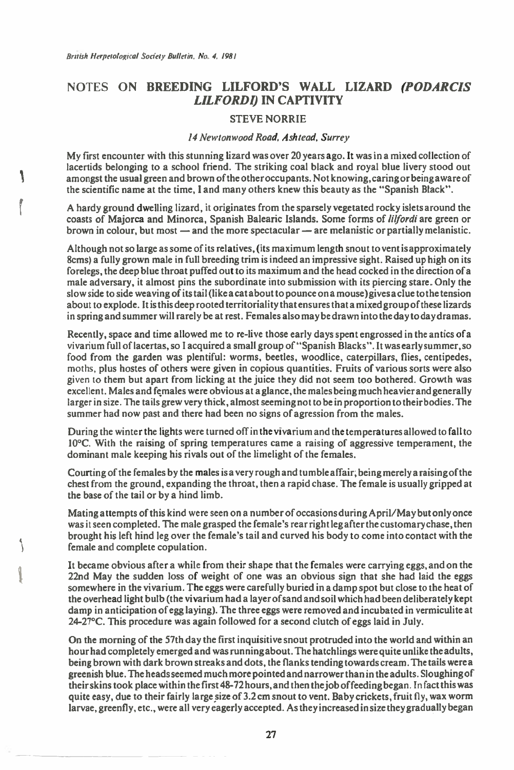١

## NOTES **ON BREEDING LILFORD'S WALL LIZARD** *(PODARCIS LILFORDI)* **IN CAPTIVITY**

## **STEVE NORRIE**

## **14 Newton wood Road, Ashtead, Surrey**

**My first encounter with this stunning lizard was over 20 years ago. It was in a mixed collection of lacertids belonging to a school friend. The striking coal black and royal blue livery stood out amongst the usual green and brown of the other occupants. Not k nowing , caring or being aware of the scientific name at the time, I and many others knew this beauty as the "Spanish Black".** 

**A hardy ground dwelling lizard, it originates from the sparsely vegetated rocky islets around the coasts of Majorca and Minorca, Spanish Balearic Islands. Some forms of lilfordi are green or brown in colour, but most — and the more spectacular — are melanistic or partially melanistic.** 

**Although not so large as some of its relatives, (its maximum length snout to vent is approximately 8cms) a fully grown male in full breeding trim is indeed an impressive sight. Raised up high on its forelegs, the deep blue throat puffed out to its maximum and the head cocked in the direction of a male adversary, it almost pins the subordinate into submission with its piercing stare. Only the slow side to side weaving of its tail (like a cat about to pounce on a mouse)gives a clue to the tension about to explode. It is this deep rooted territoriality that ensures that a mixed group of these lizards in spring and summer will rarely be at rest. Females also may be drawn into the day today dramas.** 

**Recently, space and time allowed me to re-live those early days spent engrossed in the antics of a vivarium full of lacertas, so I acquired a small group of "Spanish Blacks". It was early summer, so food from the garden was plentiful: worms, beetles, woodlice, caterpillars, flies, centipedes,**  moths, **plus hostes of others were given in copious quantities. Fruits of various sorts were also**  given to **them but apart from licking at the juice they did not seem too bothered. Growth was excellent. Males and females were obvious at a glance, the males being much heavier and generally larger in size. The tails grew very thick, almost seeming not to be in proportion to their bodies. The summer had now past and there had been no signs of agression from the males.** 

**During the winter the lights were turned off in the vivarium and the temperatures allowed to fall to 10°C. With the raising of spring temperatures came a raising of aggressive temperament, the dominant male keeping his rivals out of the limelight of the females.** 

**Courting of the females by the males is a very rough and tumble affair; being merely a raising of the chest from the ground, expanding the throat, then a rapid chase. The female is usually gripped at the base of the tail or by a hind limb.** 

**Mating attempts of this kind were seen on a number of occasions during April/May but only once was it seen completed. The male grasped the female's rear right leg after the customary chase, then brought his left hind leg over the female's tail and curved his body to come into contact with the female and complete copulation.** 

**It became obvious after a while from their shape that the females were carrying eggs, and on the 22nd May the sudden loss of weight of one was an obvious sign that she had laid the eggs somewhere in the vivarium. The eggs were carefully buried in a damp spot but close to the heat of the overhead light bulb (the vivarium had a layer of sand and soil which had been deliberately kept damp in anticipation of egg laying). The three eggs were removed and incubated in vermiculite at 24-27°C. This procedure was again followed for a second clutch of eggs laid in July.** 

**On the morning of the 57th day the first inquisitive snout protruded into the world and within an hour had completely emerged and was running about. The hatch lings were quite unlike the adults, being brown with dark brown streaks and dots, the flanks tending towards cream. The tails were a greenish blue. The heads seemed much more pointed and narrower than in the adults. Sloughing of their skins took place within the first 48-72 hours, and then the job of feeding began.** In **fact this was quite easy, due to their fairly large size of 3.2 cm snout to vent. Baby crickets, fruit fly, wax worm larvae, greenfly, etc., were all very eagerly accepted. As they increased in size they gradually began**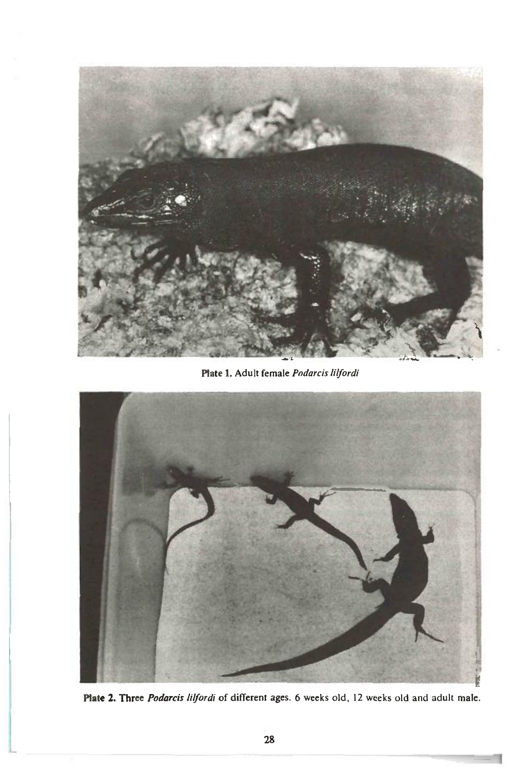

**Plate 1. Adult** *female* **Podarcis lilfordi** 



**Plate 2. Three Podarcis lilfordi of different** ages. 6 weeks old, 12 weeks old and adult male.